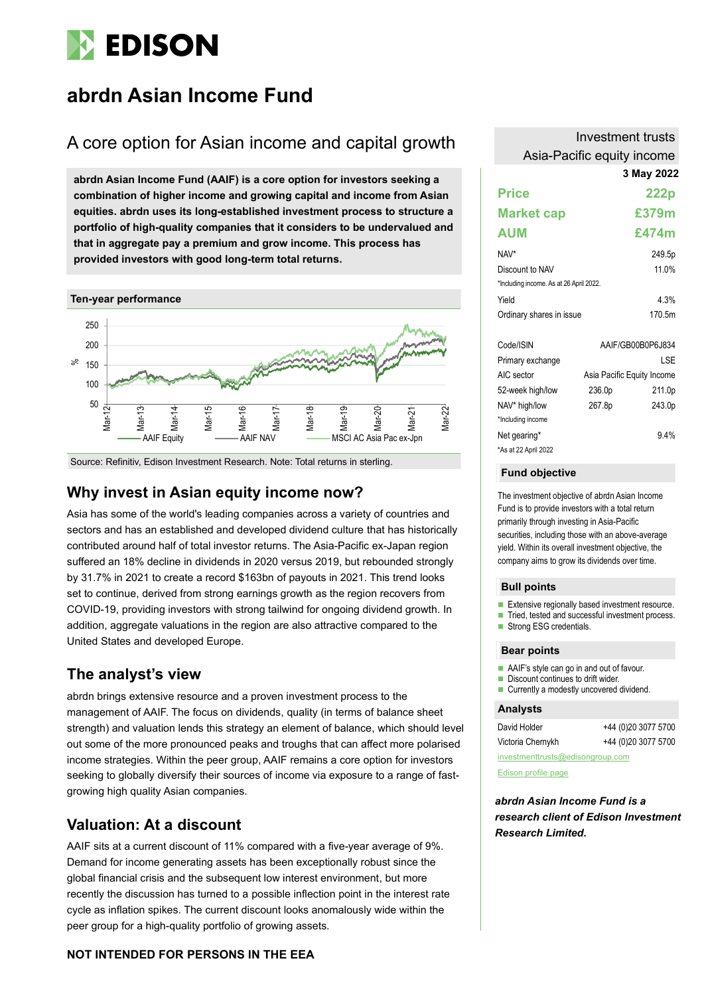

# **abrdn Asian Income Fund**

# A core option for Asian income and capital growth

**abrdn Asian Income Fund (AAIF) is a core option for investors seeking a combination of higher income and growing capital and income from Asian equities. abrdn uses its long-established investment process to structure a portfolio of high-quality companies that it considers to be undervalued and that in aggregate pay a premium and grow income. This process has provided investors with good long-term total returns.**



Source: Refinitiv, Edison Investment Research. Note: Total returns in sterling.

### **Why invest in Asian equity income now?**

Asia has some of the world's leading companies across a variety of countries and sectors and has an established and developed dividend culture that has historically contributed around half of total investor returns. The Asia-Pacific ex-Japan region suffered an 18% decline in dividends in 2020 versus 2019, but rebounded strongly by 31.7% in 2021 to create a record \$163bn of payouts in 2021. This trend looks set to continue, derived from strong earnings growth as the region recovers from COVID-19, providing investors with strong tailwind for ongoing dividend growth. In addition, aggregate valuations in the region are also attractive compared to the United States and developed Europe.

### **The analyst's view**

abrdn brings extensive resource and a proven investment process to the management of AAIF. The focus on dividends, quality (in terms of balance sheet strength) and valuation lends this strategy an element of balance, which should level out some of the more pronounced peaks and troughs that can affect more polarised income strategies. Within the peer group, AAIF remains a core option for investors seeking to globally diversify their sources of income via exposure to a range of fastgrowing high quality Asian companies.

### **Valuation: At a discount**

AAIF sits at a current discount of 11% compared with a five-year average of 9%. Demand for income generating assets has been exceptionally robust since the global financial crisis and the subsequent low interest environment, but more recently the discussion has turned to a possible inflection point in the interest rate cycle as inflation spikes. The current discount looks anomalously wide within the peer group for a high-quality portfolio of growing assets.

### **NOT INTENDED FOR PERSONS IN THE EEA**

| Investment trusts          |
|----------------------------|
| Asia-Pacific equity income |

#### **3 May 2022**

|                                         |        | J MAY ZUZZ                 |
|-----------------------------------------|--------|----------------------------|
| <b>Price</b>                            |        | 222p                       |
| <b>Market cap</b>                       |        | £379m                      |
| <b>AUM</b>                              |        | £474m                      |
| NAV*                                    |        | 249.5p                     |
| Discount to NAV                         |        | 11.0%                      |
| *Including income. As at 26 April 2022. |        |                            |
| Yield                                   |        | 4.3%                       |
| Ordinary shares in issue                |        | 170.5m                     |
| Code/ISIN                               |        | AAIF/GB00B0P6J834          |
| Primary exchange                        |        | LSE                        |
| AIC sector                              |        | Asia Pacific Equity Income |
| 52-week high/low                        | 236.0p | 211.0p                     |
| NAV* high/low                           | 267.8p | 243.0p                     |
| *Including income                       |        |                            |
| Net gearing*<br>*As at 22 April 2022    |        | 9.4%                       |

#### **Fund objective**

The investment objective of abrdn Asian Income Fund is to provide investors with a total return primarily through investing in Asia-Pacific securities, including those with an above-average yield. Within its overall investment objective, the company aims to grow its dividends over time.

#### **Bull points**

- Extensive regionally based investment resource.
- Tried, tested and successful investment process.
- Strong ESG credentials.

#### **Bear points**

- AAIF's style can go in and out of favour.
- Discount continues to drift wider.
- Currently a modestly uncovered dividend.

#### **Analysts**

| David Holder                     | +44 (0)20 3077 5700 |  |  |  |  |  |  |
|----------------------------------|---------------------|--|--|--|--|--|--|
| Victoria Chernykh                | +44 (0)20 3077 5700 |  |  |  |  |  |  |
| investmenttrusts@edisongroup.com |                     |  |  |  |  |  |  |

[Edison profile page](https://www.edisongroup.com/company/abrdn-asian-income-fund/)

*abrdn Asian Income Fund is a research client of Edison Investment Research Limited.*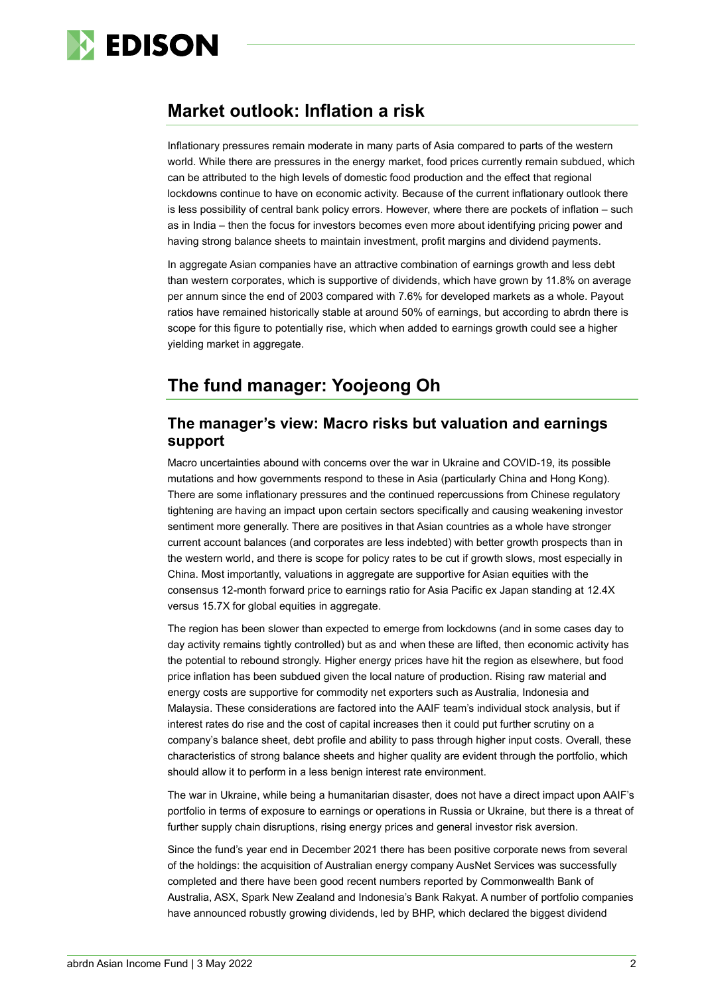

### **Market outlook: Inflation a risk**

Inflationary pressures remain moderate in many parts of Asia compared to parts of the western world. While there are pressures in the energy market, food prices currently remain subdued, which can be attributed to the high levels of domestic food production and the effect that regional lockdowns continue to have on economic activity. Because of the current inflationary outlook there is less possibility of central bank policy errors. However, where there are pockets of inflation – such as in India – then the focus for investors becomes even more about identifying pricing power and having strong balance sheets to maintain investment, profit margins and dividend payments.

In aggregate Asian companies have an attractive combination of earnings growth and less debt than western corporates, which is supportive of dividends, which have grown by 11.8% on average per annum since the end of 2003 compared with 7.6% for developed markets as a whole. Payout ratios have remained historically stable at around 50% of earnings, but according to abrdn there is scope for this figure to potentially rise, which when added to earnings growth could see a higher vielding market in aggregate.

# **The fund manager: Yoojeong Oh**

### **The manager's view: Macro risks but valuation and earnings support**

Macro uncertainties abound with concerns over the war in Ukraine and COVID-19, its possible mutations and how governments respond to these in Asia (particularly China and Hong Kong). There are some inflationary pressures and the continued repercussions from Chinese regulatory tightening are having an impact upon certain sectors specifically and causing weakening investor sentiment more generally. There are positives in that Asian countries as a whole have stronger current account balances (and corporates are less indebted) with better growth prospects than in the western world, and there is scope for policy rates to be cut if growth slows, most especially in China. Most importantly, valuations in aggregate are supportive for Asian equities with the consensus 12-month forward price to earnings ratio for Asia Pacific ex Japan standing at 12.4X versus 15.7X for global equities in aggregate.

The region has been slower than expected to emerge from lockdowns (and in some cases day to day activity remains tightly controlled) but as and when these are lifted, then economic activity has the potential to rebound strongly. Higher energy prices have hit the region as elsewhere, but food price inflation has been subdued given the local nature of production. Rising raw material and energy costs are supportive for commodity net exporters such as Australia, Indonesia and Malaysia. These considerations are factored into the AAIF team's individual stock analysis, but if interest rates do rise and the cost of capital increases then it could put further scrutiny on a company's balance sheet, debt profile and ability to pass through higher input costs. Overall, these characteristics of strong balance sheets and higher quality are evident through the portfolio, which should allow it to perform in a less benign interest rate environment.

The war in Ukraine, while being a humanitarian disaster, does not have a direct impact upon AAIF's portfolio in terms of exposure to earnings or operations in Russia or Ukraine, but there is a threat of further supply chain disruptions, rising energy prices and general investor risk aversion.

Since the fund's year end in December 2021 there has been positive corporate news from several of the holdings: the acquisition of Australian energy company AusNet Services was successfully completed and there have been good recent numbers reported by Commonwealth Bank of Australia, ASX, Spark New Zealand and Indonesia's Bank Rakyat. A number of portfolio companies have announced robustly growing dividends, led by BHP, which declared the biggest dividend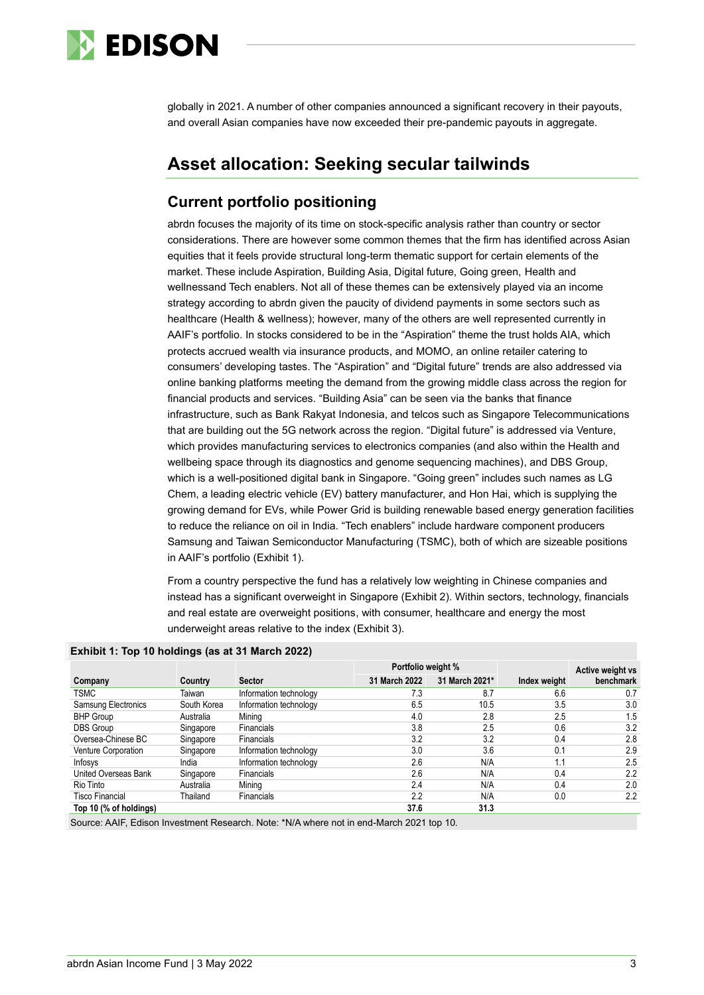

globally in 2021. A number of other companies announced a significant recovery in their payouts, and overall Asian companies have now exceeded their pre-pandemic payouts in aggregate.

### **Asset allocation: Seeking secular tailwinds**

### **Current portfolio positioning**

abrdn focuses the majority of its time on stock-specific analysis rather than country or sector considerations. There are however some common themes that the firm has identified across Asian equities that it feels provide structural long-term thematic support for certain elements of the market. These include Aspiration, Building Asia, Digital future, Going green, Health and wellnessand Tech enablers. Not all of these themes can be extensively played via an income strategy according to abrdn given the paucity of dividend payments in some sectors such as healthcare (Health & wellness); however, many of the others are well represented currently in AAIF's portfolio. In stocks considered to be in the "Aspiration" theme the trust holds AIA, which protects accrued wealth via insurance products, and MOMO, an online retailer catering to consumers' developing tastes. The "Aspiration" and "Digital future" trends are also addressed via online banking platforms meeting the demand from the growing middle class across the region for financial products and services. "Building Asia" can be seen via the banks that finance infrastructure, such as Bank Rakyat Indonesia, and telcos such as Singapore Telecommunications that are building out the 5G network across the region. "Digital future" is addressed via Venture, which provides manufacturing services to electronics companies (and also within the Health and wellbeing space through its diagnostics and genome sequencing machines), and DBS Group, which is a well-positioned digital bank in Singapore. "Going green" includes such names as LG Chem, a leading electric vehicle (EV) battery manufacturer, and Hon Hai, which is supplying the growing demand for EVs, while Power Grid is building renewable based energy generation facilities to reduce the reliance on oil in India. "Tech enablers" include hardware component producers Samsung and Taiwan Semiconductor Manufacturing (TSMC), both of which are sizeable positions in AAIF's portfolio (Exhibit 1).

From a country perspective the fund has a relatively low weighting in Chinese companies and instead has a significant overweight in Singapore (Exhibit 2). Within sectors, technology, financials and real estate are overweight positions, with consumer, healthcare and energy the most underweight areas relative to the index (Exhibit 3).

|                        |             |                        | Portfolio weight % |                |              | Active weight vs |
|------------------------|-------------|------------------------|--------------------|----------------|--------------|------------------|
| Company                | Country     | <b>Sector</b>          | 31 March 2022      | 31 March 2021* | Index weight | benchmark        |
| <b>TSMC</b>            | Taiwan      | Information technology | 7.3                | 8.7            | 6.6          | 0.7              |
| Samsung Electronics    | South Korea | Information technology | 6.5                | 10.5           | 3.5          | 3.0              |
| <b>BHP Group</b>       | Australia   | Mining                 | 4.0                | 2.8            | 2.5          | 1.5              |
| <b>DBS</b> Group       | Singapore   | <b>Financials</b>      | 3.8                | 2.5            | 0.6          | 3.2              |
| Oversea-Chinese BC     | Singapore   | <b>Financials</b>      | 3.2                | 3.2            | 0.4          | 2.8              |
| Venture Corporation    | Singapore   | Information technology | 3.0                | 3.6            | 0.1          | 2.9              |
| Infosys                | India       | Information technology | 2.6                | N/A            | 1.1          | 2.5              |
| United Overseas Bank   | Singapore   | Financials             | 2.6                | N/A            | 0.4          | 2.2              |
| Rio Tinto              | Australia   | Mining                 | 2.4                | N/A            | 0.4          | 2.0              |
| <b>Tisco Financial</b> | Thailand    | <b>Financials</b>      | 2.2                | N/A            | 0.0          | 2.2              |
| Top 10 (% of holdings) |             |                        | 37.6               | 31.3           |              |                  |

**Exhibit 1: Top 10 holdings (as at 31 March 2022)**

Source: AAIF, Edison Investment Research. Note: \*N/A where not in end-March 2021 top 10.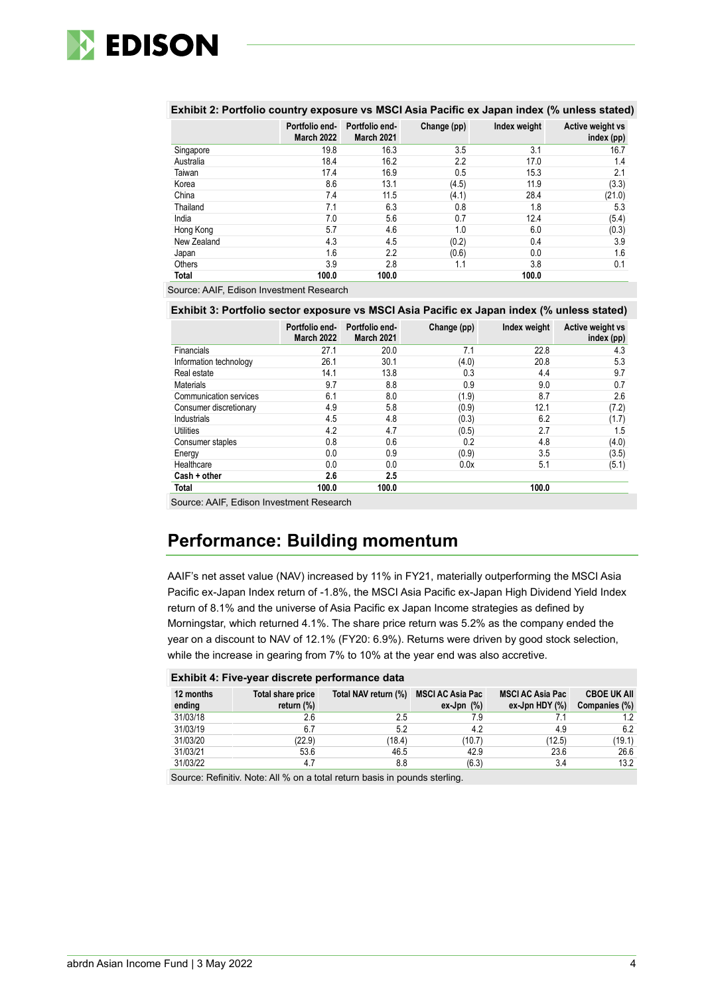

|             | Portfolio end-<br><b>March 2022</b> | Portfolio end-<br>March 2021 | Change (pp) | Index weight | Active weight vs<br>index (pp) |
|-------------|-------------------------------------|------------------------------|-------------|--------------|--------------------------------|
| Singapore   | 19.8                                | 16.3                         | 3.5         | 3.1          | 16.7                           |
| Australia   | 18.4                                | 16.2                         | 2.2         | 17.0         | 1.4                            |
| Taiwan      | 17.4                                | 16.9                         | 0.5         | 15.3         | 2.1                            |
| Korea       | 8.6                                 | 13.1                         | (4.5)       | 11.9         | (3.3)                          |
| China       | 7.4                                 | 11.5                         | (4.1)       | 28.4         | (21.0)                         |
| Thailand    | 7.1                                 | 6.3                          | 0.8         | 1.8          | 5.3                            |
| India       | 7.0                                 | 5.6                          | 0.7         | 12.4         | (5.4)                          |
| Hong Kong   | 5.7                                 | 4.6                          | 1.0         | 6.0          | (0.3)                          |
| New Zealand | 4.3                                 | 4.5                          | (0.2)       | 0.4          | 3.9                            |
| Japan       | 1.6                                 | 2.2                          | (0.6)       | 0.0          | 1.6                            |
| Others      | 3.9                                 | 2.8                          | 1.1         | 3.8          | 0.1                            |
| Total       | 100.0                               | 100.0                        |             | 100.0        |                                |

#### **Exhibit 2: Portfolio country exposure vs MSCI Asia Pacific ex Japan index (% unless stated)**

Source: AAIF, Edison Investment Research

#### **Exhibit 3: Portfolio sector exposure vs MSCI Asia Pacific ex Japan index (% unless stated)**

|                               | Portfolio end-<br><b>March 2022</b> | Portfolio end-<br>March 2021 | Change (pp) | Index weight | Active weight vs<br>index (pp) |
|-------------------------------|-------------------------------------|------------------------------|-------------|--------------|--------------------------------|
| <b>Financials</b>             | 27.1                                | 20.0                         | 7.1         | 22.8         | 4.3                            |
| Information technology        | 26.1                                | 30.1                         | (4.0)       | 20.8         | 5.3                            |
| Real estate                   | 14.1                                | 13.8                         | 0.3         | 4.4          | 9.7                            |
| <b>Materials</b>              | 9.7                                 | 8.8                          | 0.9         | 9.0          | 0.7                            |
| <b>Communication services</b> | 6.1                                 | 8.0                          | (1.9)       | 8.7          | 2.6                            |
| Consumer discretionary        | 4.9                                 | 5.8                          | (0.9)       | 12.1         | (7.2)                          |
| Industrials                   | 4.5                                 | 4.8                          | (0.3)       | 6.2          | (1.7)                          |
| Utilities                     | 4.2                                 | 4.7                          | (0.5)       | 2.7          | 1.5                            |
| Consumer staples              | 0.8                                 | 0.6                          | 0.2         | 4.8          | (4.0)                          |
| Energy                        | 0.0                                 | 0.9                          | (0.9)       | 3.5          | (3.5)                          |
| Healthcare                    | 0.0                                 | 0.0                          | 0.0x        | 5.1          | (5.1)                          |
| Cash + other                  | 2.6                                 | 2.5                          |             |              |                                |
| Total                         | 100.0                               | 100.0                        |             | 100.0        |                                |

Source: AAIF, Edison Investment Research

# **Performance: Building momentum**

AAIF's net asset value (NAV) increased by 11% in FY21, materially outperforming the MSCI Asia Pacific ex-Japan Index return of -1.8%, the MSCI Asia Pacific ex-Japan High Dividend Yield Index return of 8.1% and the universe of Asia Pacific ex Japan Income strategies as defined by Morningstar, which returned 4.1%. The share price return was 5.2% as the company ended the year on a discount to NAV of 12.1% (FY20: 6.9%). Returns were driven by good stock selection, while the increase in gearing from 7% to 10% at the year end was also accretive.

|  |  |  |  | Exhibit 4: Five-year discrete performance data |  |
|--|--|--|--|------------------------------------------------|--|
|--|--|--|--|------------------------------------------------|--|

| 12 months<br>ending | Total share price<br>return (%) | Total NAV return (%) | <b>MSCI AC Asia Pac</b><br>$ex-Jpn$ $(\%)$ | <b>MSCI AC Asia Pac</b><br>$ex-Jpn HDY (\%)$ | <b>CBOE UK AII</b><br>Companies (%) |
|---------------------|---------------------------------|----------------------|--------------------------------------------|----------------------------------------------|-------------------------------------|
| 31/03/18            | 2.6                             | 2.5                  | 7.9                                        |                                              | $1.2^{\circ}$                       |
| 31/03/19            | 6.7                             | 5.2                  | 4.2                                        | 4.9                                          | 6.2                                 |
| 31/03/20            | (22.9)                          | (18.4)               | (10.7)                                     | (12.5)                                       | (19.1)                              |
| 31/03/21            | 53.6                            | 46.5                 | 42.9                                       | 23.6                                         | 26.6                                |
| 31/03/22            | 4.7                             | 8.8                  | (6.3)                                      | 3.4                                          | 13.2                                |
|                     |                                 |                      |                                            |                                              |                                     |

Source: Refinitiv. Note: All % on a total return basis in pounds sterling.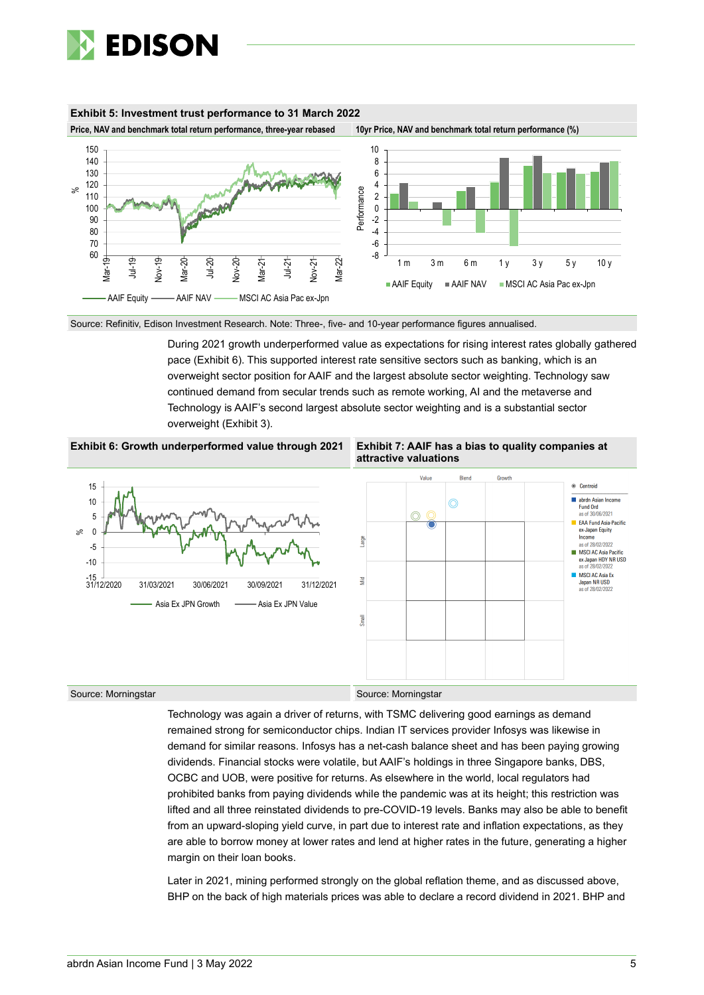

#### **Exhibit 5: Investment trust performance to 31 March 2022**

**Price, NAV and benchmark total return performance, three-year rebased 10yr Price, NAV and benchmark total return performance (%)**





Source: Refinitiv, Edison Investment Research. Note: Three-, five- and 10-year performance figures annualised.

During 2021 growth underperformed value as expectations for rising interest rates globally gathered pace (Exhibit 6). This supported interest rate sensitive sectors such as banking, which is an overweight sector position for AAIF and the largest absolute sector weighting. Technology saw continued demand from secular trends such as remote working, AI and the metaverse and Technology is AAIF's second largest absolute sector weighting and is a substantial sector overweight (Exhibit 3).







Source: Morningstar Source: Morningstar Source: Morningstar

Technology was again a driver of returns, with TSMC delivering good earnings as demand remained strong for semiconductor chips. Indian IT services provider Infosys was likewise in demand for similar reasons. Infosys has a net-cash balance sheet and has been paying growing dividends. Financial stocks were volatile, but AAIF's holdings in three Singapore banks, DBS, OCBC and UOB, were positive for returns. As elsewhere in the world, local regulators had prohibited banks from paying dividends while the pandemic was at its height; this restriction was lifted and all three reinstated dividends to pre-COVID-19 levels. Banks may also be able to benefit from an upward-sloping yield curve, in part due to interest rate and inflation expectations, as they are able to borrow money at lower rates and lend at higher rates in the future, generating a higher margin on their loan books.

Later in 2021, mining performed strongly on the global reflation theme, and as discussed above, BHP on the back of high materials prices was able to declare a record dividend in 2021. BHP and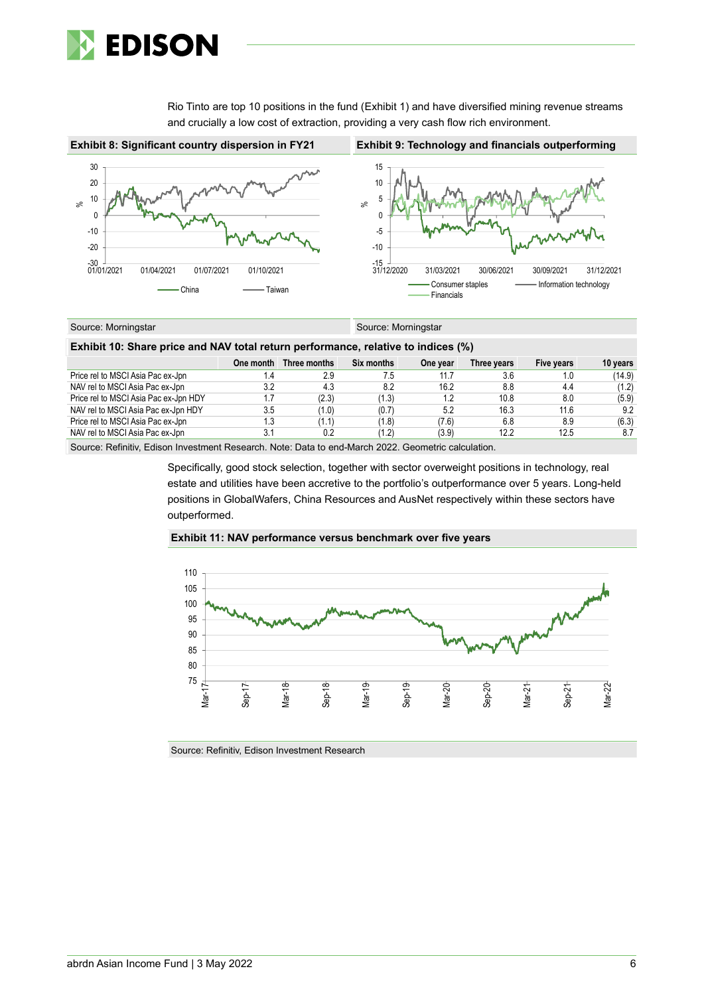

Rio Tinto are top 10 positions in the fund (Exhibit 1) and have diversified mining revenue streams and crucially a low cost of extraction, providing a very cash flow rich environment.



| Source: Morningstar | Source: Morningstar |
|---------------------|---------------------|
|                     |                     |

| Exhibit 10: Share price and NAV total return performance, relative to indices (%) |     |                        |            |          |             |            |          |  |  |  |  |
|-----------------------------------------------------------------------------------|-----|------------------------|------------|----------|-------------|------------|----------|--|--|--|--|
|                                                                                   |     | One month Three months | Six months | One year | Three years | Five years | 10 years |  |  |  |  |
| Price rel to MSCI Asia Pac ex-Jpn                                                 | 1.4 | 2.9                    | 7.5        | 11.7     | 3.6         | 1.0        | (14.9)   |  |  |  |  |
| NAV rel to MSCI Asia Pac ex-Jpn                                                   | 3.2 | 4.3                    | 8.2        | 16.2     | 8.8         | 4.4        | (1.2)    |  |  |  |  |
| Price rel to MSCI Asia Pac ex-Jpn HDY                                             | 1.7 | (2.3)                  | (1.3)      | 1.2      | 10.8        | 8.0        | (5.9)    |  |  |  |  |
| NAV rel to MSCI Asia Pac ex-Jpn HDY                                               | 3.5 | (1.0)                  | (0.7)      | 5.2      | 16.3        | 11.6       | 9.2      |  |  |  |  |
| Price rel to MSCI Asia Pac ex-Jpn                                                 | 1.3 | (1.1)                  | (1.8)      | (7.6)    | 6.8         | 8.9        | (6.3)    |  |  |  |  |
| NAV rel to MSCI Asia Pac ex-Jpn                                                   | 3.1 | 0.2                    | (1.2)      | (3.9)    | 12.2        | 12.5       | 8.7      |  |  |  |  |

Source: Refinitiv, Edison Investment Research. Note: Data to end-March 2022. Geometric calculation.

Specifically, good stock selection, together with sector overweight positions in technology, real estate and utilities have been accretive to the portfolio's outperformance over 5 years. Long-held positions in GlobalWafers, China Resources and AusNet respectively within these sectors have outperformed.





Source: Refinitiv, Edison Investment Research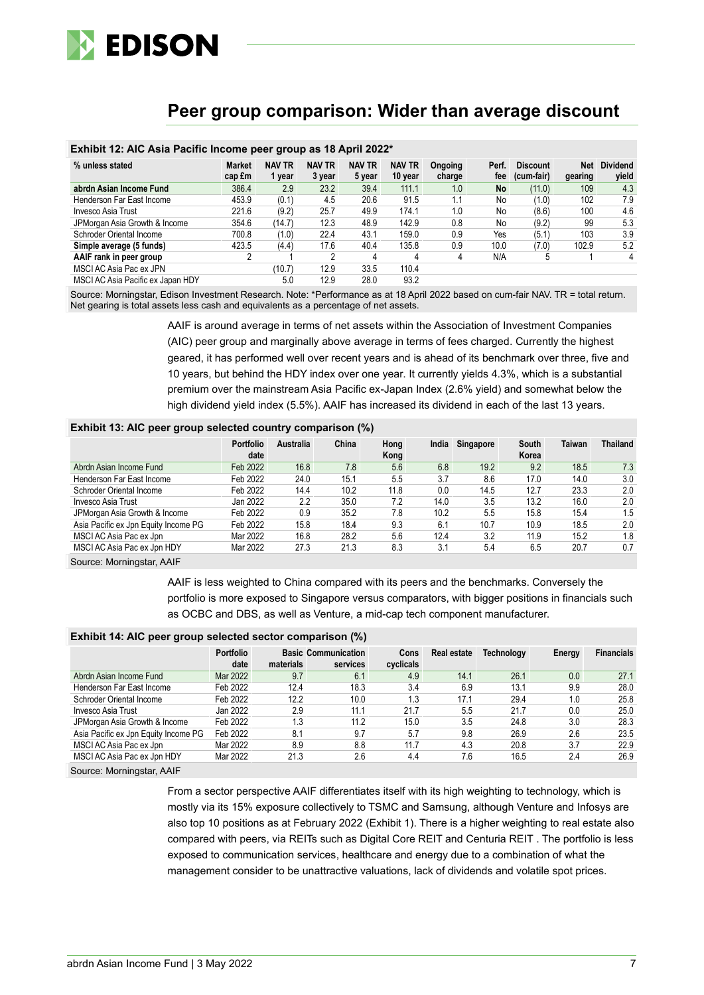

### **Peer group comparison: Wider than average discount**

### **Exhibit 12: AIC Asia Pacific Income peer group as 18 April 2022\***

| % unless stated                   | <b>Market</b><br>cap £m | <b>NAV TR</b><br>1 year | <b>NAV TR</b><br>3 year | <b>NAV TR</b><br>5 year | <b>NAV TR</b><br>10 year | Ongoing<br>charge | Perf.<br>fee | <b>Discount</b><br>(cum-fair) | Net<br>gearing | <b>Dividend</b><br>yield |
|-----------------------------------|-------------------------|-------------------------|-------------------------|-------------------------|--------------------------|-------------------|--------------|-------------------------------|----------------|--------------------------|
| abrdn Asian Income Fund           | 386.4                   | 2.9                     | 23.2                    | 39.4                    | 111.1                    | 1.0               | <b>No</b>    | (11.0)                        | 109            | 4.3                      |
| Henderson Far East Income         | 453.9                   | (0.1)                   | 4.5                     | 20.6                    | 91.5                     | 1.1               | No           | (1.0)                         | 102            | 7.9                      |
| Invesco Asia Trust                | 221.6                   | (9.2)                   | 25.7                    | 49.9                    | 174.1                    | 1.0               | No           | (8.6)                         | 100            | 4.6                      |
| JPMorgan Asia Growth & Income     | 354.6                   | (14.7)                  | 12.3                    | 48.9                    | 142.9                    | 0.8               | No           | (9.2)                         | 99             | 5.3                      |
| Schroder Oriental Income          | 700.8                   | (1.0)                   | 22.4                    | 43.1                    | 159.0                    | 0.9               | Yes          | (5.1)                         | 103            | 3.9                      |
| Simple average (5 funds)          | 423.5                   | (4.4)                   | 17.6                    | 40.4                    | 135.8                    | 0.9               | 10.0         | (7.0)                         | 102.9          | 5.2                      |
| AAIF rank in peer group           |                         |                         | າ                       | 4                       | 4                        |                   | N/A          |                               |                | 4                        |
| MSCI AC Asia Pac ex JPN           |                         | (10.7)                  | 12.9                    | 33.5                    | 110.4                    |                   |              |                               |                |                          |
| MSCI AC Asia Pacific ex Japan HDY |                         | 5.0                     | 12.9                    | 28.0                    | 93.2                     |                   |              |                               |                |                          |

Source: Morningstar, Edison Investment Research. Note: \*Performance as at 18 April 2022 based on cum-fair NAV. TR = total return. Net gearing is total assets less cash and equivalents as a percentage of net assets.

> AAIF is around average in terms of net assets within the Association of Investment Companies (AIC) peer group and marginally above average in terms of fees charged. Currently the highest geared, it has performed well over recent years and is ahead of its benchmark over three, five and 10 years, but behind the HDY index over one year. It currently yields 4.3%, which is a substantial premium over the mainstream Asia Pacific ex-Japan Index (2.6% yield) and somewhat below the high dividend yield index (5.5%). AAIF has increased its dividend in each of the last 13 years.

#### **Exhibit 13: AIC peer group selected country comparison (%)**

|                                      | <b>Portfolio</b><br>date | <b>Australia</b> | China | Hong<br>Kong | India | Singapore | South<br>Korea | <b>Taiwan</b> | Thailand |
|--------------------------------------|--------------------------|------------------|-------|--------------|-------|-----------|----------------|---------------|----------|
| Abrdn Asian Income Fund              | Feb 2022                 | 16.8             | 7.8   | 5.6          | 6.8   | 19.2      | 9.2            | 18.5          | 7.3      |
| Henderson Far East Income            | Feb 2022                 | 24.0             | 15.1  | 5.5          | 3.7   | 8.6       | 17.0           | 14.0          | 3.0      |
| Schroder Oriental Income             | Feb 2022                 | 14.4             | 10.2  | 11.8         | 0.0   | 14.5      | 12.7           | 23.3          | 2.0      |
| Invesco Asia Trust                   | Jan 2022                 | 2.2              | 35.0  | 7.2          | 14.0  | 3.5       | 13.2           | 16.0          | 2.0      |
| JPMorgan Asia Growth & Income        | Feb 2022                 | 0.9              | 35.2  | 7.8          | 10.2  | 5.5       | 15.8           | 15.4          | 1.5      |
| Asia Pacific ex Jpn Equity Income PG | Feb 2022                 | 15.8             | 18.4  | 9.3          | 6.1   | 10.7      | 10.9           | 18.5          | 2.0      |
| MSCI AC Asia Pac ex Jpn              | Mar 2022                 | 16.8             | 28.2  | 5.6          | 12.4  | 3.2       | 11.9           | 15.2          | 1.8      |
| MSCI AC Asia Pac ex Jpn HDY          | Mar 2022                 | 27.3             | 21.3  | 8.3          | 3.1   | 5.4       | 6.5            | 20.7          | 0.7      |

Source: Morningstar, AAIF

AAIF is less weighted to China compared with its peers and the benchmarks. Conversely the portfolio is more exposed to Singapore versus comparators, with bigger positions in financials such as OCBC and DBS, as well as Venture, a mid-cap tech component manufacturer.

#### **Exhibit 14: AIC peer group selected sector comparison (%)**

| <u>In the Second Community of the Community of the United States of the United States of the United States of the </u> |                          |           |                                        |                   |             |                   |        |                   |  |  |
|------------------------------------------------------------------------------------------------------------------------|--------------------------|-----------|----------------------------------------|-------------------|-------------|-------------------|--------|-------------------|--|--|
|                                                                                                                        | <b>Portfolio</b><br>date | materials | <b>Basic Communication</b><br>services | Cons<br>cyclicals | Real estate | <b>Technology</b> | Energy | <b>Financials</b> |  |  |
| Abrdn Asian Income Fund                                                                                                | Mar 2022                 | 9.7       | 6.1                                    | 4.9               | 14.1        | 26.1              | 0.0    | 27.1              |  |  |
| Henderson Far East Income                                                                                              | Feb 2022                 | 12.4      | 18.3                                   | 3.4               | 6.9         | 13.1              | 9.9    | 28.0              |  |  |
| Schroder Oriental Income                                                                                               | Feb 2022                 | 12.2      | 10.0                                   | 1.3               | 17.1        | 29.4              | 1.0    | 25.8              |  |  |
| Invesco Asia Trust                                                                                                     | Jan 2022                 | 2.9       | 11.1                                   | 21.7              | 5.5         | 21.7              | 0.0    | 25.0              |  |  |
| JPMorgan Asia Growth & Income                                                                                          | Feb 2022                 | 1.3       | 11.2                                   | 15.0              | 3.5         | 24.8              | 3.0    | 28.3              |  |  |
| Asia Pacific ex Jpn Equity Income PG                                                                                   | Feb 2022                 | 8.1       | 9.7                                    | 5.7               | 9.8         | 26.9              | 2.6    | 23.5              |  |  |
| MSCI AC Asia Pac ex Jpn                                                                                                | Mar 2022                 | 8.9       | 8.8                                    | 11.7              | 4.3         | 20.8              | 3.7    | 22.9              |  |  |
| MSCI AC Asia Pac ex Jpn HDY                                                                                            | Mar 2022                 | 21.3      | 2.6                                    | 4.4               | 7.6         | 16.5              | 2.4    | 26.9              |  |  |
|                                                                                                                        |                          |           |                                        |                   |             |                   |        |                   |  |  |

Source: Morningstar, AAIF

From a sector perspective AAIF differentiates itself with its high weighting to technology, which is mostly via its 15% exposure collectively to TSMC and Samsung, although Venture and Infosys are also top 10 positions as at February 2022 (Exhibit 1). There is a higher weighting to real estate also compared with peers, via REITs such as Digital Core REIT and Centuria REIT . The portfolio is less exposed to communication services, healthcare and energy due to a combination of what the management consider to be unattractive valuations, lack of dividends and volatile spot prices.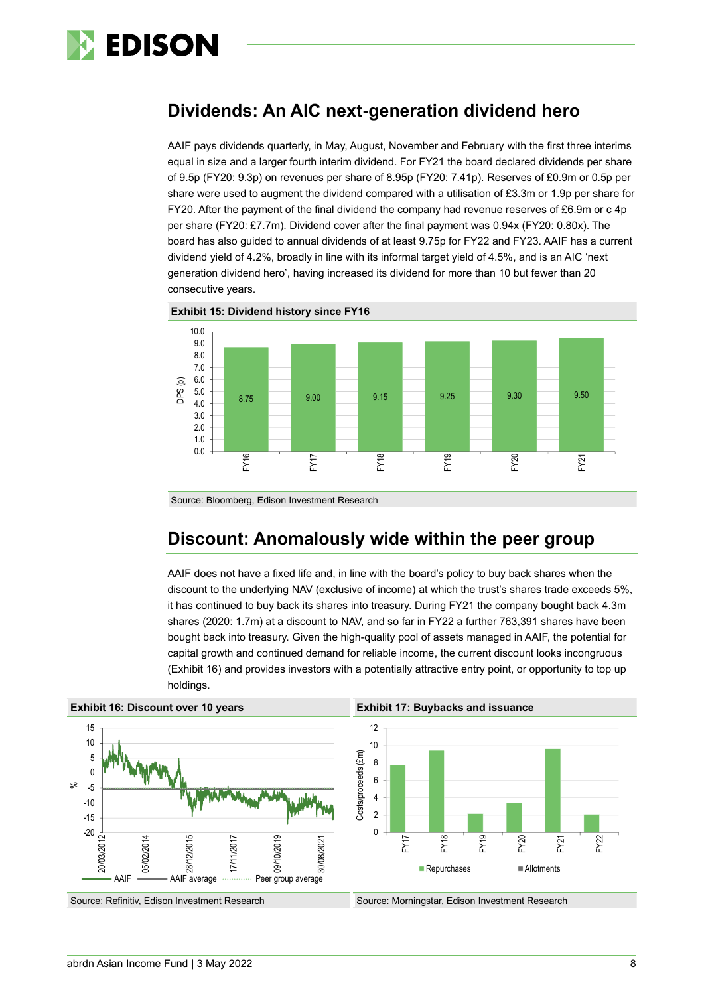

### **Dividends: An AIC next-generation dividend hero**

AAIF pays dividends quarterly, in May, August, November and February with the first three interims equal in size and a larger fourth interim dividend. For FY21 the board declared dividends per share of 9.5p (FY20: 9.3p) on revenues per share of 8.95p (FY20: 7.41p). Reserves of £0.9m or 0.5p per share were used to augment the dividend compared with a utilisation of £3.3m or 1.9p per share for FY20. After the payment of the final dividend the company had revenue reserves of £6.9m or c 4p per share (FY20: £7.7m). Dividend cover after the final payment was 0.94x (FY20: 0.80x). The board has also guided to annual dividends of at least 9.75p for FY22 and FY23. AAIF has a current dividend yield of 4.2%, broadly in line with its informal target yield of 4.5%, and is an AIC 'next generation dividend hero', having increased its dividend for more than 10 but fewer than 20 consecutive years.





Source: Bloomberg, Edison Investment Research

# **Discount: Anomalously wide within the peer group**

AAIF does not have a fixed life and, in line with the board's policy to buy back shares when the discount to the underlying NAV (exclusive of income) at which the trust's shares trade exceeds 5%, it has continued to buy back its shares into treasury. During FY21 the company bought back 4.3m shares (2020: 1.7m) at a discount to NAV, and so far in FY22 a further 763,391 shares have been bought back into treasury. Given the high-quality pool of assets managed in AAIF, the potential for capital growth and continued demand for reliable income, the current discount looks incongruous (Exhibit 16) and provides investors with a potentially attractive entry point, or opportunity to top up holdings.

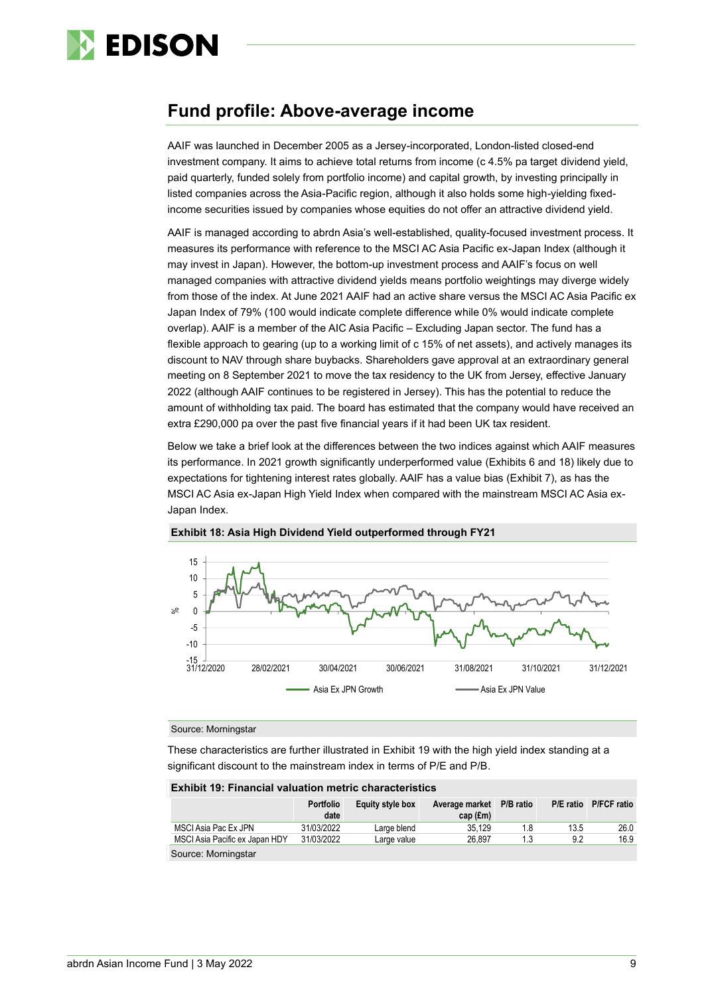

### **Fund profile: Above-average income**

AAIF was launched in December 2005 as a Jersey-incorporated, London-listed closed-end investment company. It aims to achieve total returns from income (c 4.5% pa target dividend yield, paid quarterly, funded solely from portfolio income) and capital growth, by investing principally in listed companies across the Asia-Pacific region, although it also holds some high-yielding fixedincome securities issued by companies whose equities do not offer an attractive dividend yield.

AAIF is managed according to abrdn Asia's well-established, quality-focused investment process. It measures its performance with reference to the MSCI AC Asia Pacific ex-Japan Index (although it may invest in Japan). However, the bottom-up investment process and AAIF's focus on well managed companies with attractive dividend yields means portfolio weightings may diverge widely from those of the index. At June 2021 AAIF had an active share versus the MSCI AC Asia Pacific ex Japan Index of 79% (100 would indicate complete difference while 0% would indicate complete overlap). AAIF is a member of the AIC Asia Pacific – Excluding Japan sector. The fund has a flexible approach to gearing (up to a working limit of c 15% of net assets), and actively manages its discount to NAV through share buybacks. Shareholders gave approval at an extraordinary general meeting on 8 September 2021 to move the tax residency to the UK from Jersey, effective January 2022 (although AAIF continues to be registered in Jersey). This has the potential to reduce the amount of withholding tax paid. The board has estimated that the company would have received an extra £290,000 pa over the past five financial years if it had been UK tax resident.

Below we take a brief look at the differences between the two indices against which AAIF measures its performance. In 2021 growth significantly underperformed value (Exhibits 6 and 18) likely due to expectations for tightening interest rates globally. AAIF has a value bias (Exhibit 7), as has the MSCI AC Asia ex-Japan High Yield Index when compared with the mainstream MSCI AC Asia ex-Japan Index.



#### **Exhibit 18: Asia High Dividend Yield outperformed through FY21**

#### Source: Morningstar

These characteristics are further illustrated in Exhibit 19 with the high yield index standing at a significant discount to the mainstream index in terms of P/E and P/B.

| <b>Exhibit 19: Financial valuation metric characteristics</b> |                          |                  |                                        |     |      |                       |  |  |  |
|---------------------------------------------------------------|--------------------------|------------------|----------------------------------------|-----|------|-----------------------|--|--|--|
|                                                               | <b>Portfolio</b><br>date | Equity style box | Average market P/B ratio<br>$cap$ (£m) |     |      | P/E ratio P/FCF ratio |  |  |  |
| MSCI Asia Pac Ex JPN                                          | 31/03/2022               | Large blend      | 35.129                                 | 1.8 | 13.5 | 26.0                  |  |  |  |
| MSCI Asia Pacific ex Japan HDY                                | 31/03/2022               | Large value      | 26.897                                 | 1.3 | 9.2  | 16.9                  |  |  |  |
| Source: Morningstar                                           |                          |                  |                                        |     |      |                       |  |  |  |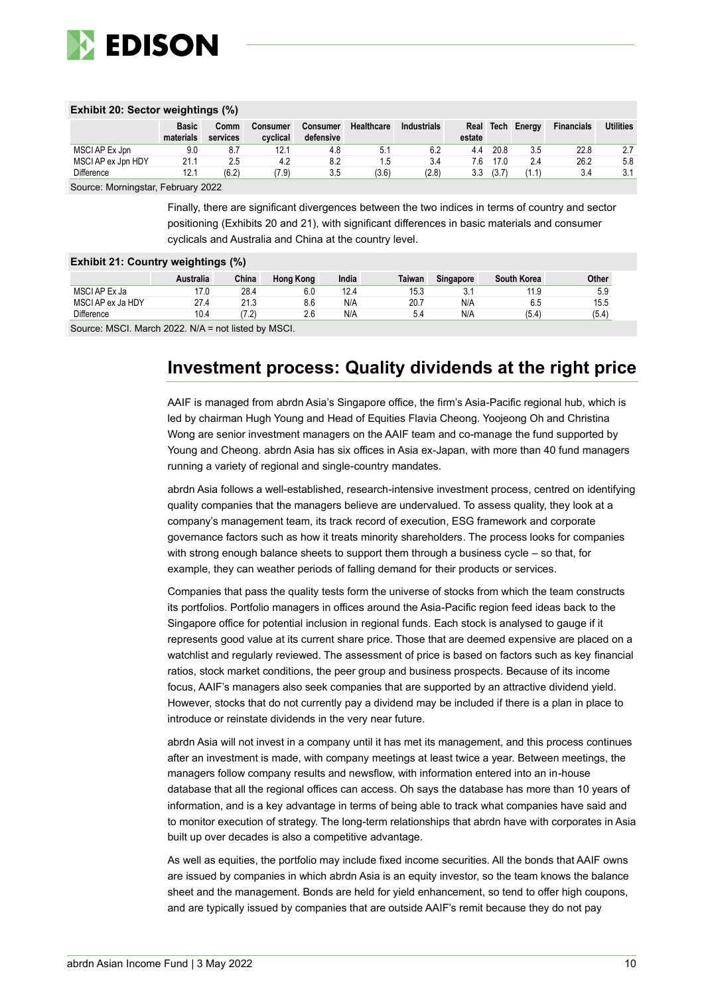

#### **Exhibit 20: Sector weightings (%)**

|                    | <b>Basic</b><br>materials | Comm<br>services | Consumer<br>cvclical | <b>Consumer</b><br>defensive | Healthcare | <b>Industrials</b> | estate | Real Tech | Energy | <b>Financials</b> | <b>Utilities</b> |
|--------------------|---------------------------|------------------|----------------------|------------------------------|------------|--------------------|--------|-----------|--------|-------------------|------------------|
| MSCI AP Ex Jpn     | 9.0                       |                  | 12.7                 | 4.8                          | 5.1        | 6.2                | 4.4    | 20.8      | 3.5    | 22.8              | -2.7             |
| MSCI AP ex Jpn HDY | 21.1                      | 2.5              | 4.2                  | 8.2                          |            | 3.4                | 7.6    |           | 2.4    | 26.2              | 5.8              |
| Difference         | 12.1                      | (6.2)            | 7.9)                 | 3.5                          | (3.6)      | (2.8)              | 3.3    | (3.7)     |        | 3.4               | 3.1              |

Source: Morningstar, February 2022

Finally, there are significant divergences between the two indices in terms of country and sector positioning (Exhibits 20 and 21), with significant differences in basic materials and consumer cyclicals and Australia and China at the country level.

#### **Exhibit 21: Country weightings (%)**

|                   | <b>Australia</b> | China | Hong Kong | India | Taiwan | Singapore | South Korea | Other |
|-------------------|------------------|-------|-----------|-------|--------|-----------|-------------|-------|
| MSCI AP Ex Ja     | 17.0             | 28.4  | 6.0       | 12.4  | 15.3   | u.        | 11.9        | 5.9   |
| MSCI AP ex Ja HDY | 27.4             | 21.3  | 8.6       | N/A   | 20.7   | N/A       | 6.5         | 15.5  |
| Difference        | 10.4             | (7.2) | 2.6       | N/A   | 5.4    | N/A       | (5.4)       | (5.4) |
| .<br>$\sim$       | ----- ---        | .     |           |       |        |           |             |       |

Source: MSCI. March 2022. N/A = not listed by MSCI.

# **Investment process: Quality dividends at the right price**

AAIF is managed from abrdn Asia's Singapore office, the firm's Asia-Pacific regional hub, which is led by chairman Hugh Young and Head of Equities Flavia Cheong. Yoojeong Oh and Christina Wong are senior investment managers on the AAIF team and co-manage the fund supported by Young and Cheong. abrdn Asia has six offices in Asia ex-Japan, with more than 40 fund managers running a variety of regional and single-country mandates.

abrdn Asia follows a well-established, research-intensive investment process, centred on identifying quality companies that the managers believe are undervalued. To assess quality, they look at a company's management team, its track record of execution, ESG framework and corporate governance factors such as how it treats minority shareholders. The process looks for companies with strong enough balance sheets to support them through a business cycle – so that, for example, they can weather periods of falling demand for their products or services.

Companies that pass the quality tests form the universe of stocks from which the team constructs its portfolios. Portfolio managers in offices around the Asia-Pacific region feed ideas back to the Singapore office for potential inclusion in regional funds. Each stock is analysed to gauge if it represents good value at its current share price. Those that are deemed expensive are placed on a watchlist and regularly reviewed. The assessment of price is based on factors such as key financial ratios, stock market conditions, the peer group and business prospects. Because of its income focus, AAIF's managers also seek companies that are supported by an attractive dividend yield. However, stocks that do not currently pay a dividend may be included if there is a plan in place to introduce or reinstate dividends in the very near future.

abrdn Asia will not invest in a company until it has met its management, and this process continues after an investment is made, with company meetings at least twice a year. Between meetings, the managers follow company results and newsflow, with information entered into an in-house database that all the regional offices can access. Oh says the database has more than 10 years of information, and is a key advantage in terms of being able to track what companies have said and to monitor execution of strategy. The long-term relationships that abrdn have with corporates in Asia built up over decades is also a competitive advantage.

As well as equities, the portfolio may include fixed income securities. All the bonds that AAIF owns are issued by companies in which abrdn Asia is an equity investor, so the team knows the balance sheet and the management. Bonds are held for yield enhancement, so tend to offer high coupons, and are typically issued by companies that are outside AAIF's remit because they do not pay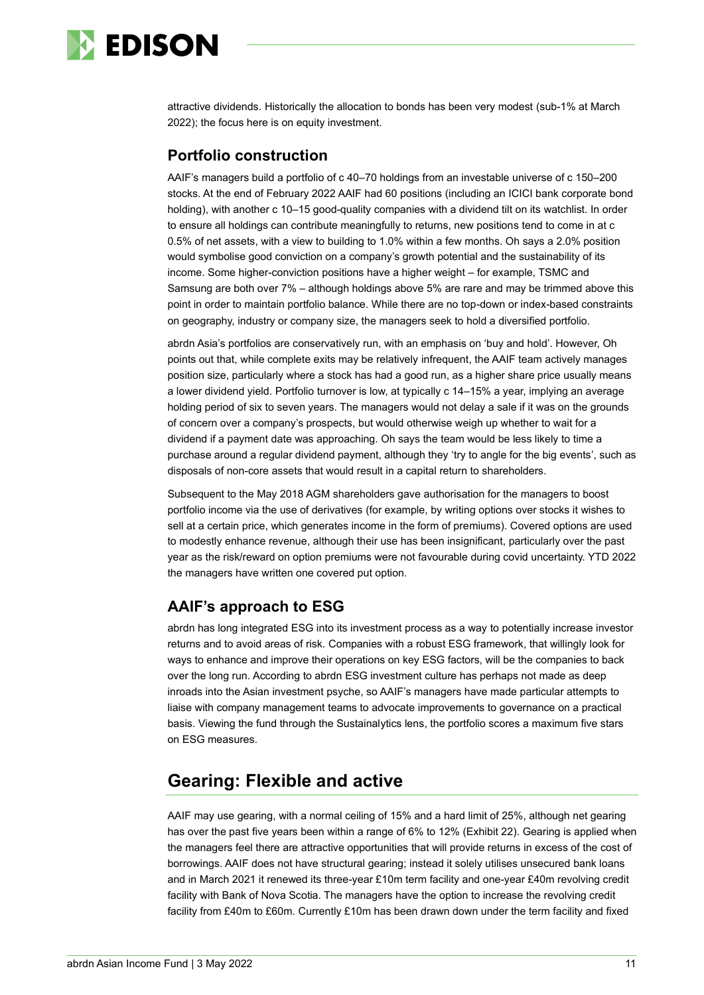

attractive dividends. Historically the allocation to bonds has been very modest (sub-1% at March 2022); the focus here is on equity investment.

### **Portfolio construction**

AAIF's managers build a portfolio of c 40–70 holdings from an investable universe of c 150–200 stocks. At the end of February 2022 AAIF had 60 positions (including an ICICI bank corporate bond holding), with another c 10–15 good-quality companies with a dividend tilt on its watchlist. In order to ensure all holdings can contribute meaningfully to returns, new positions tend to come in at c 0.5% of net assets, with a view to building to 1.0% within a few months. Oh says a 2.0% position would symbolise good conviction on a company's growth potential and the sustainability of its income. Some higher-conviction positions have a higher weight – for example, TSMC and Samsung are both over 7% – although holdings above 5% are rare and may be trimmed above this point in order to maintain portfolio balance. While there are no top-down or index-based constraints on geography, industry or company size, the managers seek to hold a diversified portfolio.

abrdn Asia's portfolios are conservatively run, with an emphasis on 'buy and hold'. However, Oh points out that, while complete exits may be relatively infrequent, the AAIF team actively manages position size, particularly where a stock has had a good run, as a higher share price usually means a lower dividend yield. Portfolio turnover is low, at typically c 14–15% a year, implying an average holding period of six to seven years. The managers would not delay a sale if it was on the grounds of concern over a company's prospects, but would otherwise weigh up whether to wait for a dividend if a payment date was approaching. Oh says the team would be less likely to time a purchase around a regular dividend payment, although they 'try to angle for the big events', such as disposals of non-core assets that would result in a capital return to shareholders.

Subsequent to the May 2018 AGM shareholders gave authorisation for the managers to boost portfolio income via the use of derivatives (for example, by writing options over stocks it wishes to sell at a certain price, which generates income in the form of premiums). Covered options are used to modestly enhance revenue, although their use has been insignificant, particularly over the past year as the risk/reward on option premiums were not favourable during covid uncertainty. YTD 2022 the managers have written one covered put option.

### **AAIF's approach to ESG**

abrdn has long integrated ESG into its investment process as a way to potentially increase investor returns and to avoid areas of risk. Companies with a robust ESG framework, that willingly look for ways to enhance and improve their operations on key ESG factors, will be the companies to back over the long run. According to abrdn ESG investment culture has perhaps not made as deep inroads into the Asian investment psyche, so AAIF's managers have made particular attempts to liaise with company management teams to advocate improvements to governance on a practical basis. Viewing the fund through the Sustainalytics lens, the portfolio scores a maximum five stars on ESG measures.

# **Gearing: Flexible and active**

AAIF may use gearing, with a normal ceiling of 15% and a hard limit of 25%, although net gearing has over the past five years been within a range of 6% to 12% (Exhibit 22). Gearing is applied when the managers feel there are attractive opportunities that will provide returns in excess of the cost of borrowings. AAIF does not have structural gearing; instead it solely utilises unsecured bank loans and in March 2021 it renewed its three-year £10m term facility and one-year £40m revolving credit facility with Bank of Nova Scotia. The managers have the option to increase the revolving credit facility from £40m to £60m. Currently £10m has been drawn down under the term facility and fixed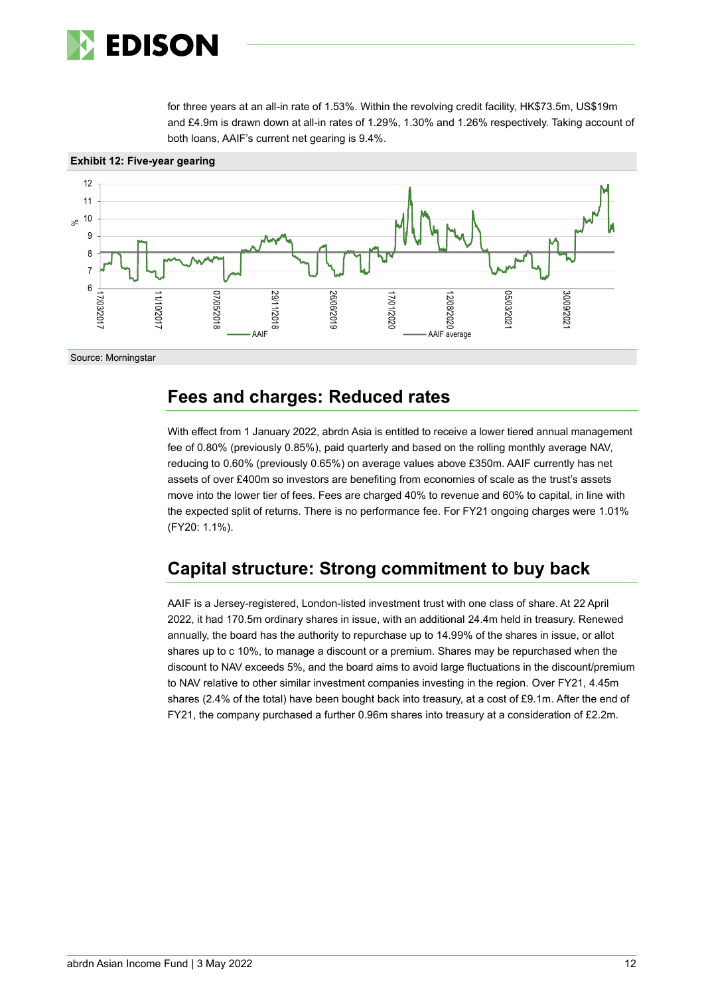

for three years at an all-in rate of 1.53%. Within the revolving credit facility, HK\$73.5m, US\$19m and £4.9m is drawn down at all-in rates of 1.29%, 1.30% and 1.26% respectively. Taking account of both loans, AAIF's current net gearing is 9.4%.



### **Fees and charges: Reduced rates**

With effect from 1 January 2022, abrdn Asia is entitled to receive a lower tiered annual management fee of 0.80% (previously 0.85%), paid quarterly and based on the rolling monthly average NAV, reducing to 0.60% (previously 0.65%) on average values above £350m. AAIF currently has net assets of over £400m so investors are benefiting from economies of scale as the trust's assets move into the lower tier of fees. Fees are charged 40% to revenue and 60% to capital, in line with the expected split of returns. There is no performance fee. For FY21 ongoing charges were 1.01% (FY20: 1.1%).

# **Capital structure: Strong commitment to buy back**

AAIF is a Jersey-registered, London-listed investment trust with one class of share. At 22 April 2022, it had 170.5m ordinary shares in issue, with an additional 24.4m held in treasury. Renewed annually, the board has the authority to repurchase up to 14.99% of the shares in issue, or allot shares up to c 10%, to manage a discount or a premium. Shares may be repurchased when the discount to NAV exceeds 5%, and the board aims to avoid large fluctuations in the discount/premium to NAV relative to other similar investment companies investing in the region. Over FY21, 4.45m shares (2.4% of the total) have been bought back into treasury, at a cost of £9.1m. After the end of FY21, the company purchased a further 0.96m shares into treasury at a consideration of £2.2m.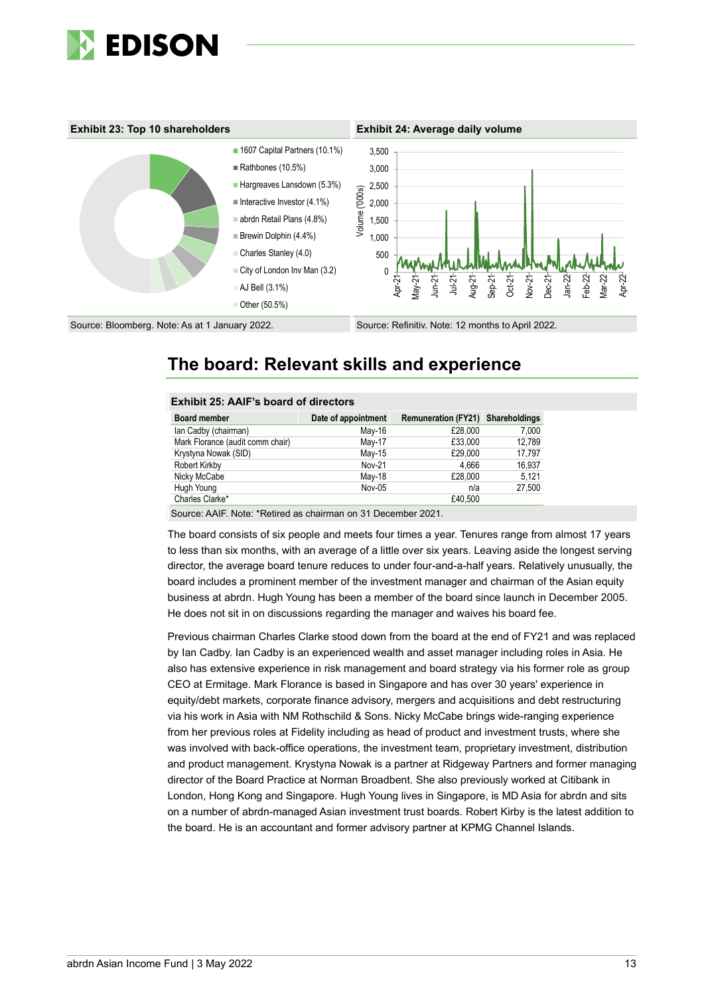



# **The board: Relevant skills and experience**

| <b>Exhibit 25: AAIF's board of directors</b> |                     |                                   |        |  |  |  |  |  |  |
|----------------------------------------------|---------------------|-----------------------------------|--------|--|--|--|--|--|--|
| <b>Board member</b>                          | Date of appointment | Remuneration (FY21) Shareholdings |        |  |  |  |  |  |  |
| lan Cadby (chairman)                         | May-16              | £28,000                           | 7,000  |  |  |  |  |  |  |
| Mark Florance (audit comm chair)             | May-17              | £33,000                           | 12,789 |  |  |  |  |  |  |
| Krystyna Nowak (SID)                         | May-15              | £29,000                           | 17,797 |  |  |  |  |  |  |
| Robert Kirkby                                | Nov-21              | 4.666                             | 16,937 |  |  |  |  |  |  |
| Nicky McCabe                                 | May-18              | £28,000                           | 5,121  |  |  |  |  |  |  |
| Hugh Young                                   | Nov-05              | n/a                               | 27,500 |  |  |  |  |  |  |
| Charles Clarke*                              |                     | £40.500                           |        |  |  |  |  |  |  |

Source: AAIF. Note: \*Retired as chairman on 31 December 2021.

The board consists of six people and meets four times a year. Tenures range from almost 17 years to less than six months, with an average of a little over six years. Leaving aside the longest serving director, the average board tenure reduces to under four-and-a-half years. Relatively unusually, the board includes a prominent member of the investment manager and chairman of the Asian equity business at abrdn. Hugh Young has been a member of the board since launch in December 2005. He does not sit in on discussions regarding the manager and waives his board fee.

Previous chairman Charles Clarke stood down from the board at the end of FY21 and was replaced by Ian Cadby. Ian Cadby is an experienced wealth and asset manager including roles in Asia. He also has extensive experience in risk management and board strategy via his former role as group CEO at Ermitage. Mark Florance is based in Singapore and has over 30 years' experience in equity/debt markets, corporate finance advisory, mergers and acquisitions and debt restructuring via his work in Asia with NM Rothschild & Sons. Nicky McCabe brings wide-ranging experience from her previous roles at Fidelity including as head of product and investment trusts, where she was involved with back-office operations, the investment team, proprietary investment, distribution and product management. Krystyna Nowak is a partner at Ridgeway Partners and former managing director of the Board Practice at Norman Broadbent. She also previously worked at Citibank in London, Hong Kong and Singapore. Hugh Young lives in Singapore, is MD Asia for abrdn and sits on a number of abrdn-managed Asian investment trust boards. Robert Kirby is the latest addition to the board. He is an accountant and former advisory partner at KPMG Channel Islands.